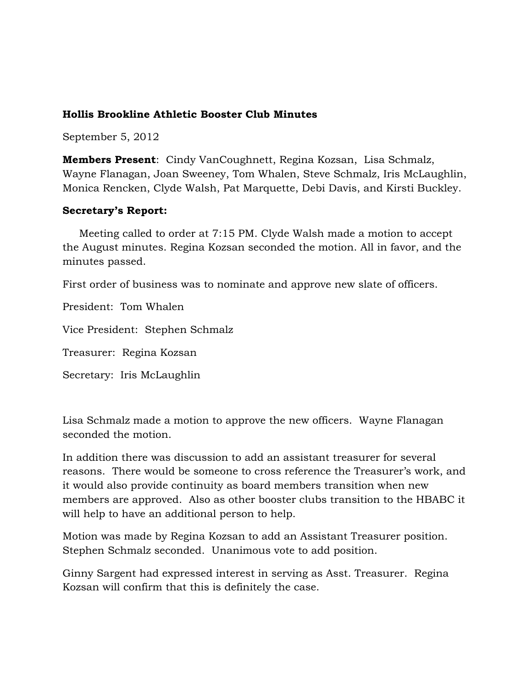#### **Hollis Brookline Athletic Booster Club Minutes**

September 5, 2012

**Members Present**: Cindy VanCoughnett, Regina Kozsan, Lisa Schmalz, Wayne Flanagan, Joan Sweeney, Tom Whalen, Steve Schmalz, Iris McLaughlin, Monica Rencken, Clyde Walsh, Pat Marquette, Debi Davis, and Kirsti Buckley.

#### **Secretary's Report:**

 Meeting called to order at 7:15 PM. Clyde Walsh made a motion to accept the August minutes. Regina Kozsan seconded the motion. All in favor, and the minutes passed.

First order of business was to nominate and approve new slate of officers.

President: Tom Whalen

Vice President: Stephen Schmalz

Treasurer: Regina Kozsan

Secretary: Iris McLaughlin

Lisa Schmalz made a motion to approve the new officers. Wayne Flanagan seconded the motion.

In addition there was discussion to add an assistant treasurer for several reasons. There would be someone to cross reference the Treasurer's work, and it would also provide continuity as board members transition when new members are approved. Also as other booster clubs transition to the HBABC it will help to have an additional person to help.

Motion was made by Regina Kozsan to add an Assistant Treasurer position. Stephen Schmalz seconded. Unanimous vote to add position.

Ginny Sargent had expressed interest in serving as Asst. Treasurer. Regina Kozsan will confirm that this is definitely the case.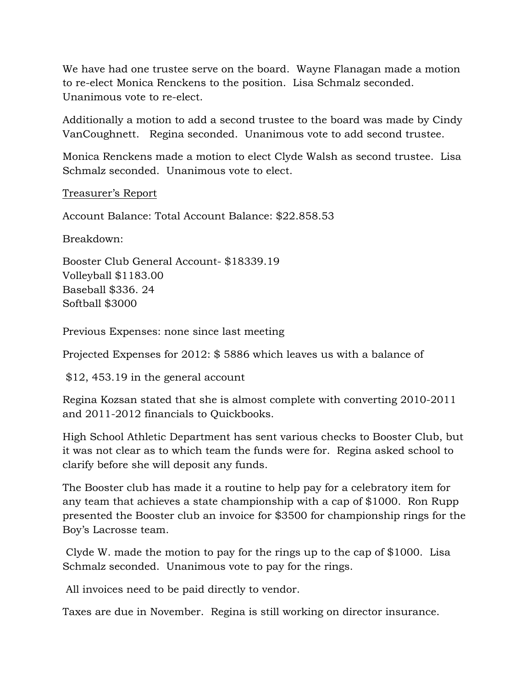We have had one trustee serve on the board. Wayne Flanagan made a motion to re-elect Monica Renckens to the position. Lisa Schmalz seconded. Unanimous vote to re-elect.

Additionally a motion to add a second trustee to the board was made by Cindy VanCoughnett. Regina seconded. Unanimous vote to add second trustee.

Monica Renckens made a motion to elect Clyde Walsh as second trustee. Lisa Schmalz seconded. Unanimous vote to elect.

Treasurer's Report

Account Balance: Total Account Balance: \$22.858.53

Breakdown:

Booster Club General Account- \$18339.19 Volleyball \$1183.00 Baseball \$336. 24 Softball \$3000

Previous Expenses: none since last meeting

Projected Expenses for 2012: \$ 5886 which leaves us with a balance of

\$12, 453.19 in the general account

Regina Kozsan stated that she is almost complete with converting 2010-2011 and 2011-2012 financials to Quickbooks.

High School Athletic Department has sent various checks to Booster Club, but it was not clear as to which team the funds were for. Regina asked school to clarify before she will deposit any funds.

The Booster club has made it a routine to help pay for a celebratory item for any team that achieves a state championship with a cap of \$1000. Ron Rupp presented the Booster club an invoice for \$3500 for championship rings for the Boy's Lacrosse team.

Clyde W. made the motion to pay for the rings up to the cap of \$1000. Lisa Schmalz seconded. Unanimous vote to pay for the rings.

All invoices need to be paid directly to vendor.

Taxes are due in November. Regina is still working on director insurance.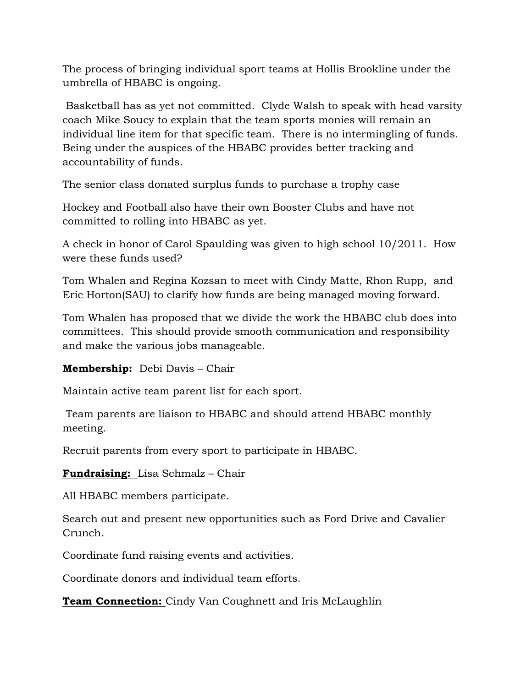The process of bringing individual sport teams at Hollis Brookline under the umbrella of HBABC is ongoing.

Basketball has as yet not committed. Clyde Walsh to speak with head varsity coach Mike Soucy to explain that the team sports monies will remain an individual line item for that specific team. There is no intermingling of funds. Being under the auspices of the HBABC provides better tracking and accountability of funds.

The senior class donated surplus funds to purchase a trophy case

Hockey and Football also have their own Booster Clubs and have not committed to rolling into HBABC as yet.

A check in honor of Carol Spaulding was given to high school 10/2011. How were these funds used?

Tom Whalen and Regina Kozsan to meet with Cindy Matte, Rhon Rupp, and Eric Horton(SAU) to clarify how funds are being managed moving forward.

Tom Whalen has proposed that we divide the work the HBABC club does into committees. This should provide smooth communication and responsibility and make the various jobs manageable.

## **Membership:** Debi Davis – Chair

Maintain active team parent list for each sport.

Team parents are liaison to HBABC and should attend HBABC monthly meeting.

Recruit parents from every sport to participate in HBABC.

**Fundraising:** Lisa Schmalz – Chair

All HBABC members participate.

Search out and present new opportunities such as Ford Drive and Cavalier Crunch.

Coordinate fund raising events and activities.

Coordinate donors and individual team efforts.

**Team Connection:** Cindy Van Coughnett and Iris McLaughlin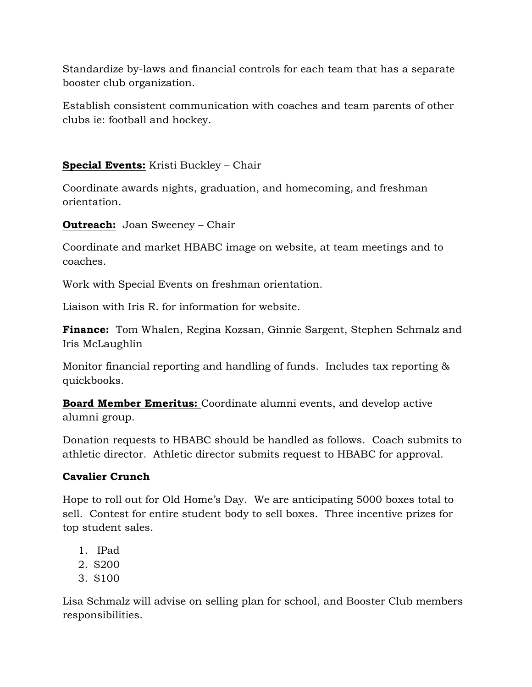Standardize by-laws and financial controls for each team that has a separate booster club organization.

Establish consistent communication with coaches and team parents of other clubs ie: football and hockey.

# **Special Events:** Kristi Buckley – Chair

Coordinate awards nights, graduation, and homecoming, and freshman orientation.

**Outreach:** Joan Sweeney – Chair

Coordinate and market HBABC image on website, at team meetings and to coaches.

Work with Special Events on freshman orientation.

Liaison with Iris R. for information for website.

**Finance:** Tom Whalen, Regina Kozsan, Ginnie Sargent, Stephen Schmalz and Iris McLaughlin

Monitor financial reporting and handling of funds. Includes tax reporting & quickbooks.

**Board Member Emeritus:** Coordinate alumni events, and develop active alumni group.

Donation requests to HBABC should be handled as follows. Coach submits to athletic director. Athletic director submits request to HBABC for approval.

## **Cavalier Crunch**

Hope to roll out for Old Home's Day. We are anticipating 5000 boxes total to sell. Contest for entire student body to sell boxes. Three incentive prizes for top student sales.

- 1. IPad
- 2. \$200
- 3. \$100

Lisa Schmalz will advise on selling plan for school, and Booster Club members responsibilities.